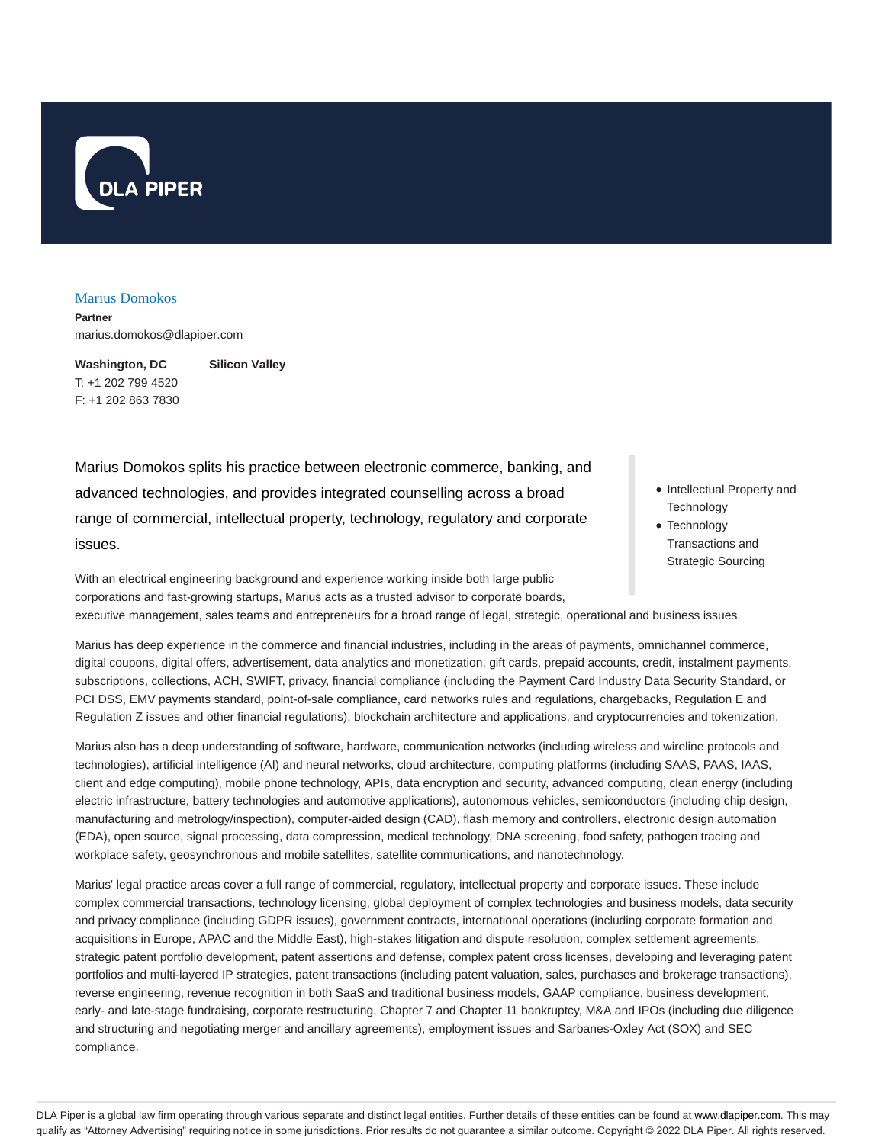

#### Marius Domokos

**Partner** marius.domokos@dlapiper.com

**Washington, DC** T: +1 202 799 4520 F: +1 202 863 7830 **Silicon Valley**

Marius Domokos splits his practice between electronic commerce, banking, and advanced technologies, and provides integrated counselling across a broad range of commercial, intellectual property, technology, regulatory and corporate issues.

- Intellectual Property and **Technology**
- Technology Transactions and Strategic Sourcing

With an electrical engineering background and experience working inside both large public corporations and fast-growing startups, Marius acts as a trusted advisor to corporate boards, executive management, sales teams and entrepreneurs for a broad range of legal, strategic, operational and business issues.

Marius has deep experience in the commerce and financial industries, including in the areas of payments, omnichannel commerce, digital coupons, digital offers, advertisement, data analytics and monetization, gift cards, prepaid accounts, credit, instalment payments, subscriptions, collections, ACH, SWIFT, privacy, financial compliance (including the Payment Card Industry Data Security Standard, or PCI DSS, EMV payments standard, point-of-sale compliance, card networks rules and regulations, chargebacks, Regulation E and Regulation Z issues and other financial regulations), blockchain architecture and applications, and cryptocurrencies and tokenization.

Marius also has a deep understanding of software, hardware, communication networks (including wireless and wireline protocols and technologies), artificial intelligence (AI) and neural networks, cloud architecture, computing platforms (including SAAS, PAAS, IAAS, client and edge computing), mobile phone technology, APIs, data encryption and security, advanced computing, clean energy (including electric infrastructure, battery technologies and automotive applications), autonomous vehicles, semiconductors (including chip design, manufacturing and metrology/inspection), computer-aided design (CAD), flash memory and controllers, electronic design automation (EDA), open source, signal processing, data compression, medical technology, DNA screening, food safety, pathogen tracing and workplace safety, geosynchronous and mobile satellites, satellite communications, and nanotechnology.

Marius' legal practice areas cover a full range of commercial, regulatory, intellectual property and corporate issues. These include complex commercial transactions, technology licensing, global deployment of complex technologies and business models, data security and privacy compliance (including GDPR issues), government contracts, international operations (including corporate formation and acquisitions in Europe, APAC and the Middle East), high-stakes litigation and dispute resolution, complex settlement agreements, strategic patent portfolio development, patent assertions and defense, complex patent cross licenses, developing and leveraging patent portfolios and multi-layered IP strategies, patent transactions (including patent valuation, sales, purchases and brokerage transactions), reverse engineering, revenue recognition in both SaaS and traditional business models, GAAP compliance, business development, early- and late-stage fundraising, corporate restructuring, Chapter 7 and Chapter 11 bankruptcy, M&A and IPOs (including due diligence and structuring and negotiating merger and ancillary agreements), employment issues and Sarbanes-Oxley Act (SOX) and SEC compliance.